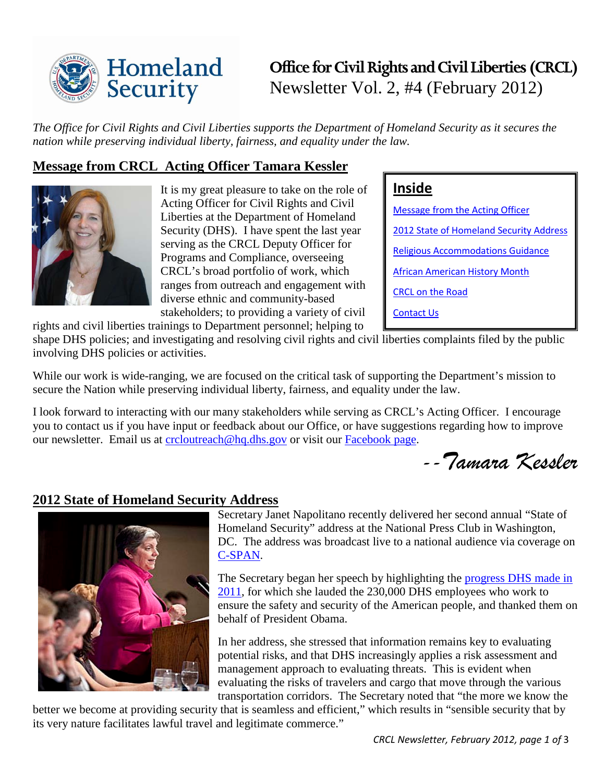

# **Office for Civil Rights and Civil Liberties (CRCL)** Newsletter Vol. 2, #4 (February 2012)

*The Office for Civil Rights and Civil Liberties supports the Department of Homeland Security as it secures the nation while preserving individual liberty, fairness, and equality under the law.* 

# <span id="page-0-0"></span>**Message from CRCL Acting Officer Tamara Kessler**

rights and civil liberties trainings to Department personnel; helping to



It is my great pleasure to take on the role of Acting Officer for Civil Rights and Civil Liberties at the Department of Homeland Security (DHS). I have spent the last year serving as the CRCL Deputy Officer for Programs and Compliance, overseeing CRCL's broad portfolio of work, which ranges from outreach and engagement with diverse ethnic and community-based stakeholders; to providing a variety of civil

# **Inside**

[Message from the Acting Officer](#page-0-0) [2012 State of Homeland Security Address](#page-0-1) [Religious Accommodations Guidance](#page-1-0) [African American History Month](#page-1-1) [CRCL on the Road](#page-1-2) [Contact Us](#page-2-0)

shape DHS policies; and investigating and resolving civil rights and civil liberties complaints filed by the public involving DHS policies or activities.

While our work is wide-ranging, we are focused on the critical task of supporting the Department's mission to secure the Nation while preserving individual liberty, fairness, and equality under the law.

I look forward to interacting with our many stakeholders while serving as CRCL's Acting Officer. I encourage you to contact us if you have input or feedback about our Office, or have suggestions regarding how to improve our newsletter. Email us at [crcloutreach@hq.dhs.gov](mailto:crcloutreach@hq.dhs.gov) or visit our [Facebook page.](http://www.facebook.com/CivilRightsAndCivilLiberties)

*--Tamara Kessler*

### <span id="page-0-1"></span>**2012 State of Homeland Security Address**



Secretary Janet Napolitano recently delivered her second annual "State of Homeland Security" address at the National Press Club in Washington, DC. The address was broadcast live to a national audience via coverage on [C-SPAN.](http://www.c-span.org/Events/DHS-Secretary-Assesses-the-State-of-Homeland-Security/10737427708-1/)

The Secretary began her speech by highlighting the [progress DHS made in](http://www.dhs.gov/xabout/2011-dhs-accomplishments.shtm)  [2011,](http://www.dhs.gov/xabout/2011-dhs-accomplishments.shtm) for which she lauded the 230,000 DHS employees who work to ensure the safety and security of the American people, and thanked them on behalf of President Obama.

In her address, she stressed that information remains key to evaluating potential risks, and that DHS increasingly applies a risk assessment and management approach to evaluating threats. This is evident when evaluating the risks of travelers and cargo that move through the various transportation corridors. The Secretary noted that "the more we know the

better we become at providing security that is seamless and efficient," which results in "sensible security that by its very nature facilitates lawful travel and legitimate commerce."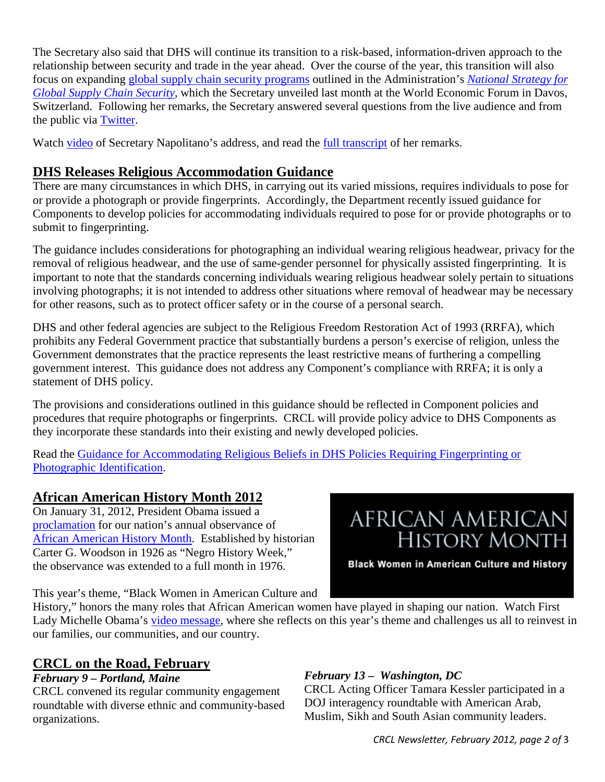The Secretary also said that DHS will continue its transition to a risk-based, information-driven approach to the relationship between security and trade in the year ahead. Over the course of the year, this transition will also focus on expanding [global supply chain security programs](http://www.dhs.gov/files/publications/national-strategy-for-global-supply-chain-security.shtm) outlined in the Administration's *[National Strategy for](http://www.dhs.gov/files/publications/national-strategy-for-global-supply-chain-security.shtm)  [Global Supply Chain Security](http://www.dhs.gov/files/publications/national-strategy-for-global-supply-chain-security.shtm)*, which the Secretary unveiled last month at the World Economic Forum in Davos, Switzerland. Following her remarks, the Secretary answered several questions from the live audience and from the public via [Twitter.](http://twitter.com/#!/dhsgov/)

Watch [video](http://blog.dhs.gov/2012/01/video-secretary-napolitanos-2nd-annual.html) of Secretary Napolitano's address, and read the [full transcript](http://www.dhs.gov/ynews/speeches/napolitano-state-of-america-homeland-security.shtm) of her remarks.

# <span id="page-1-0"></span>**DHS Releases Religious Accommodation Guidance**

There are many circumstances in which DHS, in carrying out its varied missions, requires individuals to pose for or provide a photograph or provide fingerprints. Accordingly, the Department recently issued guidance for Components to develop policies for accommodating individuals required to pose for or provide photographs or to submit to fingerprinting.

The guidance includes considerations for photographing an individual wearing religious headwear, privacy for the removal of religious headwear, and the use of same-gender personnel for physically assisted fingerprinting. It is important to note that the standards concerning individuals wearing religious headwear solely pertain to situations involving photographs; it is not intended to address other situations where removal of headwear may be necessary for other reasons, such as to protect officer safety or in the course of a personal search.

DHS and other federal agencies are subject to the Religious Freedom Restoration Act of 1993 (RRFA), which prohibits any Federal Government practice that substantially burdens a person's exercise of religion, unless the Government demonstrates that the practice represents the least restrictive means of furthering a compelling government interest. This guidance does not address any Component's compliance with RRFA; it is only a statement of DHS policy.

The provisions and considerations outlined in this guidance should be reflected in Component policies and procedures that require photographs or fingerprints. CRCL will provide policy advice to DHS Components as they incorporate these standards into their existing and newly developed policies.

Read the [Guidance for Accommodating Religious Beliefs in DHS Policies Requiring Fingerprinting or](http://www.dhs.gov/xabout/structure/crcl-guidance-religious-beliefs-fingerprinting.shtm)  [Photographic Identification.](http://www.dhs.gov/xabout/structure/crcl-guidance-religious-beliefs-fingerprinting.shtm)

# <span id="page-1-1"></span>**African American History Month 2012**

On January 31, 2012, President Obama issued a [proclamation](http://www.whitehouse.gov/the-press-office/2012/01/31/presidential-proclamation-national-african-american-history-month-2012) for our nation's annual observance of [African American History Month.](http://africanamericanhistorymonth.gov/) Established by historian Carter G. Woodson in 1926 as "Negro History Week," the observance was extended to a full month in 1976.

# AFRICAN AMERICAN **HISTORY MONTH**

Black Women in American Culture and History

This year's theme, "Black Women in American Culture and

History," honors the many roles that African American women have played in shaping our nation. Watch First Lady Michelle Obama's [video message,](http://www.whitehouse.gov/blog/2012/02/09/celebrating-black-women-american-culture-and-history) where she reflects on this year's theme and challenges us all to reinvest in our families, our communities, and our country.

# <span id="page-1-2"></span>**CRCL on the Road, February**

#### *February 9 – Portland, Maine*

CRCL convened its regular community engagement roundtable with diverse ethnic and community-based organizations.

#### *February 13 – Washington, DC*

CRCL Acting Officer Tamara Kessler participated in a DOJ interagency roundtable with American Arab, Muslim, Sikh and South Asian community leaders.